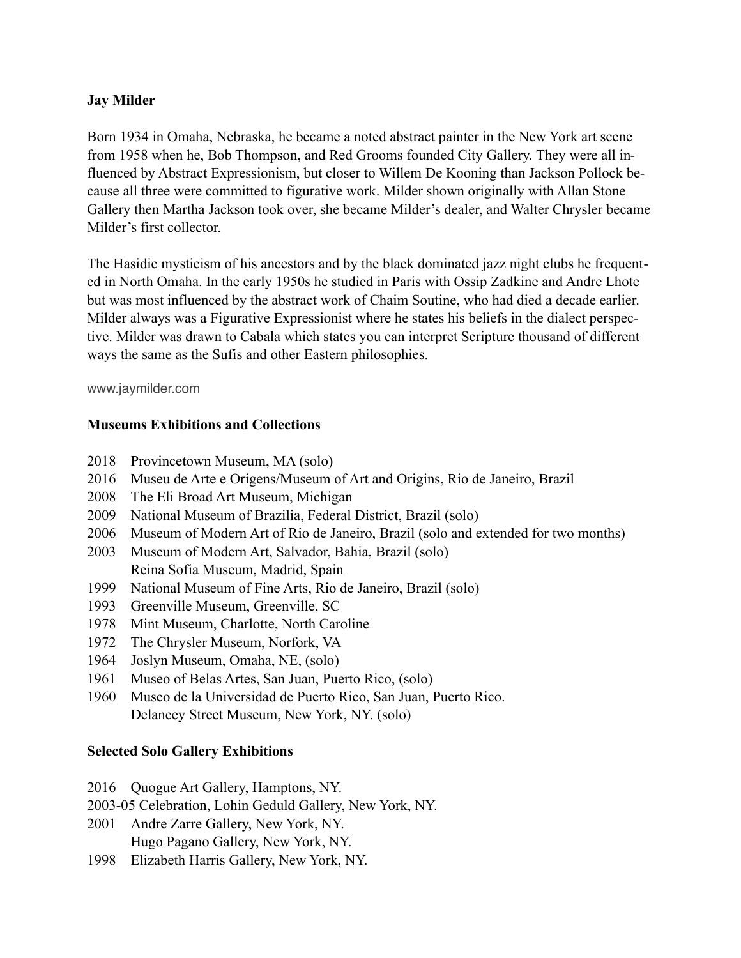# **Jay Milder**

Born 1934 in Omaha, Nebraska, he became a noted abstract painter in the New York art scene from 1958 when he, Bob Thompson, and Red Grooms founded City Gallery. They were all influenced by Abstract Expressionism, but closer to Willem De Kooning than Jackson Pollock because all three were committed to figurative work. Milder shown originally with Allan Stone Gallery then Martha Jackson took over, she became Milder's dealer, and Walter Chrysler became Milder's first collector.

The Hasidic mysticism of his ancestors and by the black dominated jazz night clubs he frequented in North Omaha. In the early 1950s he studied in Paris with Ossip Zadkine and Andre Lhote but was most influenced by the abstract work of Chaim Soutine, who had died a decade earlier. Milder always was a Figurative Expressionist where he states his beliefs in the dialect perspective. Milder was drawn to Cabala which states you can interpret Scripture thousand of different ways the same as the Sufis and other Eastern philosophies.

[www.jaymilder.com](http://www.jaymilder.com)

#### **Museums Exhibitions and Collections**

- 2018 Provincetown Museum, MA (solo)
- 2016 Museu de Arte e Origens/Museum of Art and Origins, Rio de Janeiro, Brazil
- 2008 The Eli Broad Art Museum, Michigan
- 2009 National Museum of Brazilia, Federal District, Brazil (solo)
- 2006 Museum of Modern Art of Rio de Janeiro, Brazil (solo and extended for two months)
- 2003 Museum of Modern Art, Salvador, Bahia, Brazil (solo) Reina Sofia Museum, Madrid, Spain
- 1999 National Museum of Fine Arts, Rio de Janeiro, Brazil (solo)
- 1993 Greenville Museum, Greenville, SC
- 1978 Mint Museum, Charlotte, North Caroline
- 1972 The Chrysler Museum, Norfork, VA
- 1964 Joslyn Museum, Omaha, NE, (solo)
- 1961 Museo of Belas Artes, San Juan, Puerto Rico, (solo)
- 1960 Museo de la Universidad de Puerto Rico, San Juan, Puerto Rico. Delancey Street Museum, New York, NY. (solo)

## **Selected Solo Gallery Exhibitions**

- 2016 Ouogue Art Gallery, Hamptons, NY.
- 2003-05 Celebration, Lohin Geduld Gallery, New York, NY.
- 2001 Andre Zarre Gallery, New York, NY. Hugo Pagano Gallery, New York, NY.
- 1998 Elizabeth Harris Gallery, New York, NY.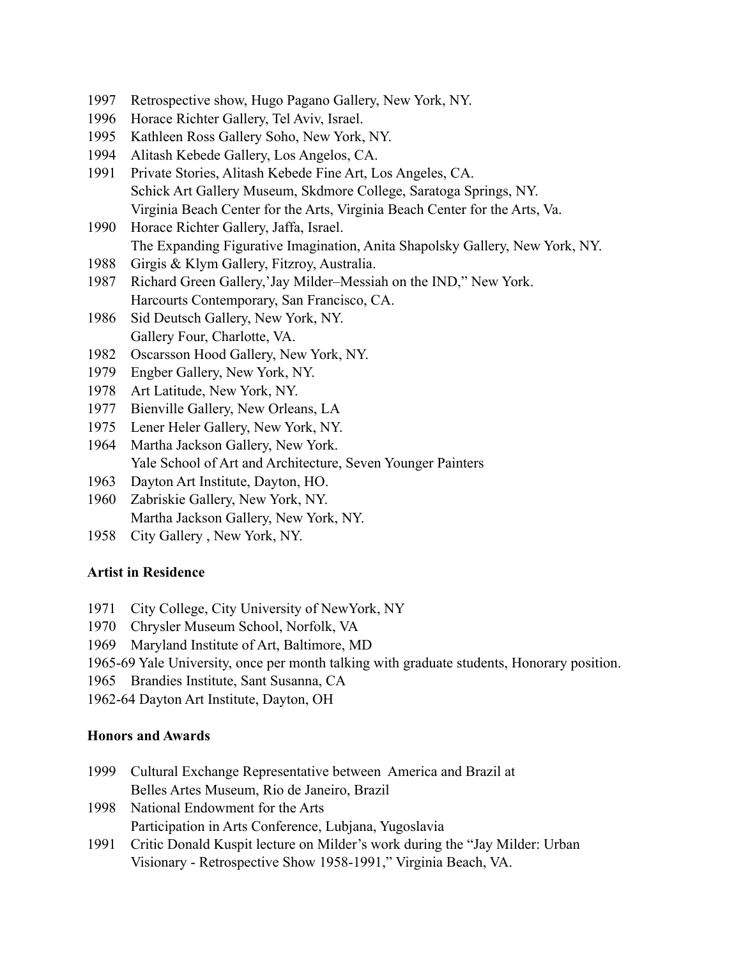- 1997 Retrospective show, Hugo Pagano Gallery, New York, NY.
- 1996 Horace Richter Gallery, Tel Aviv, Israel.
- 1995 Kathleen Ross Gallery Soho, New York, NY.
- 1994 Alitash Kebede Gallery, Los Angelos, CA.
- 1991 Private Stories, Alitash Kebede Fine Art, Los Angeles, CA. Schick Art Gallery Museum, Skdmore College, Saratoga Springs, NY. Virginia Beach Center for the Arts, Virginia Beach Center for the Arts, Va.
- 1990 Horace Richter Gallery, Jaffa, Israel. The Expanding Figurative Imagination, Anita Shapolsky Gallery, New York, NY.
- 1988 Girgis & Klym Gallery, Fitzroy, Australia.
- 1987 Richard Green Gallery,'Jay Milder–Messiah on the IND," New York. Harcourts Contemporary, San Francisco, CA.
- 1986 Sid Deutsch Gallery, New York, NY. Gallery Four, Charlotte, VA.
- 1982 Oscarsson Hood Gallery, New York, NY.
- 1979 Engber Gallery, New York, NY.
- 1978 Art Latitude, New York, NY.
- 1977 Bienville Gallery, New Orleans, LA
- 1975 Lener Heler Gallery, New York, NY.
- 1964 Martha Jackson Gallery, New York. Yale School of Art and Architecture, Seven Younger Painters
- 1963 Dayton Art Institute, Dayton, HO.
- 1960 Zabriskie Gallery, New York, NY. Martha Jackson Gallery, New York, NY.
- 1958 City Gallery , New York, NY.

## **Artist in Residence**

- 1971 City College, City University of NewYork, NY
- 1970 Chrysler Museum School, Norfolk, VA
- 1969 Maryland Institute of Art, Baltimore, MD
- 1965-69 Yale University, once per month talking with graduate students, Honorary position.
- 1965 Brandies Institute, Sant Susanna, CA
- 1962-64 Dayton Art Institute, Dayton, OH

## **Honors and Awards**

- 1999 Cultural Exchange Representative between America and Brazil at Belles Artes Museum, Rio de Janeiro, Brazil
- 1998 National Endowment for the Arts Participation in Arts Conference, Lubjana, Yugoslavia
- 1991 Critic Donald Kuspit lecture on Milder's work during the "Jay Milder: Urban Visionary - Retrospective Show 1958-1991," Virginia Beach, VA.